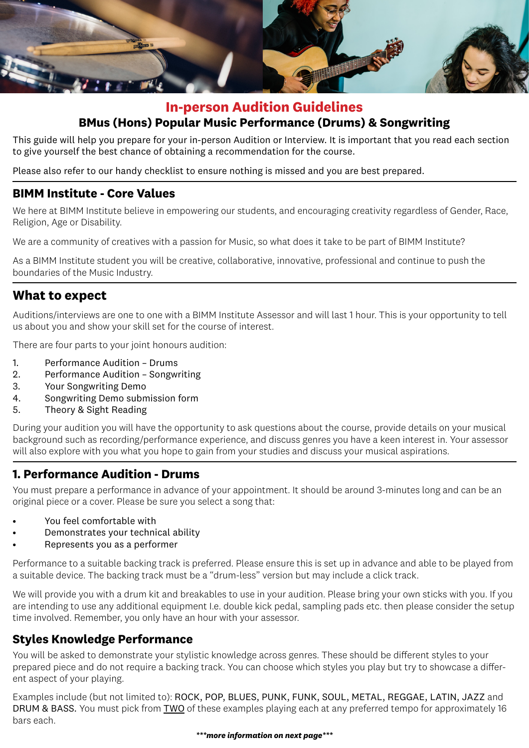

# **In-person Audition Guidelines BMus (Hons) Popular Music Performance (Drums) & Songwriting**

This guide will help you prepare for your in-person Audition or Interview. It is important that you read each section to give yourself the best chance of obtaining a recommendation for the course.

Please also refer to our handy checklist to ensure nothing is missed and you are best prepared.

#### **BIMM Institute - Core Values**

We here at BIMM Institute believe in empowering our students, and encouraging creativity regardless of Gender, Race, Religion, Age or Disability.

We are a community of creatives with a passion for Music, so what does it take to be part of BIMM Institute?

As a BIMM Institute student you will be creative, collaborative, innovative, professional and continue to push the boundaries of the Music Industry.

### **What to expect**

Auditions/interviews are one to one with a BIMM Institute Assessor and will last 1 hour. This is your opportunity to tell us about you and show your skill set for the course of interest.

There are four parts to your joint honours audition:

- 1. Performance Audition Drums
- 2. Performance Audition Songwriting
- 3. Your Songwriting Demo
- 4. Songwriting Demo submission form
- 5. Theory & Sight Reading

During your audition you will have the opportunity to ask questions about the course, provide details on your musical background such as recording/performance experience, and discuss genres you have a keen interest in. Your assessor will also explore with you what you hope to gain from your studies and discuss your musical aspirations.

#### **1. Performance Audition - Drums**

You must prepare a performance in advance of your appointment. It should be around 3-minutes long and can be an original piece or a cover. Please be sure you select a song that:

- You feel comfortable with
- Demonstrates your technical ability
- Represents you as a performer

Performance to a suitable backing track is preferred. Please ensure this is set up in advance and able to be played from a suitable device. The backing track must be a "drum-less" version but may include a click track.

We will provide you with a drum kit and breakables to use in your audition. Please bring your own sticks with you. If you are intending to use any additional equipment I.e. double kick pedal, sampling pads etc. then please consider the setup time involved. Remember, you only have an hour with your assessor.

### **Styles Knowledge Performance**

You will be asked to demonstrate your stylistic knowledge across genres. These should be different styles to your prepared piece and do not require a backing track. You can choose which styles you play but try to showcase a different aspect of your playing.

Examples include (but not limited to): ROCK, POP, BLUES, PUNK, FUNK, SOUL, METAL, REGGAE, LATIN, JAZZ and DRUM & BASS. You must pick from TWO of these examples playing each at any preferred tempo for approximately 16 bars each.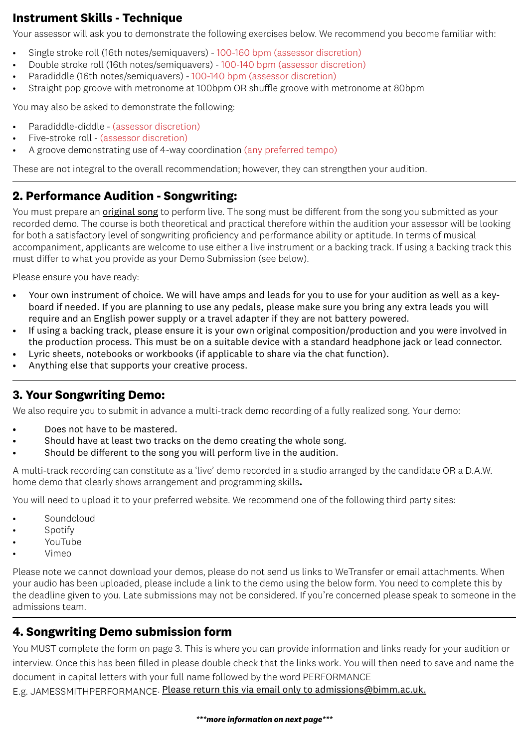## **Instrument Skills - Technique**

Your assessor will ask you to demonstrate the following exercises below. We recommend you become familiar with:

- Single stroke roll (16th notes/semiquavers) 100-160 bpm (assessor discretion)
- Double stroke roll (16th notes/semiquavers) 100-140 bpm (assessor discretion)
- Paradiddle (16th notes/semiquavers) 100-140 bpm (assessor discretion)
- Straight pop groove with metronome at 100bpm OR shuffle groove with metronome at 80bpm

You may also be asked to demonstrate the following:

- Paradiddle-diddle (assessor discretion)
- Five-stroke roll (assessor discretion)
- A groove demonstrating use of 4-way coordination (any preferred tempo)

These are not integral to the overall recommendation; however, they can strengthen your audition.

## **2. Performance Audition - Songwriting:**

You must prepare an original song to perform live. The song must be different from the song you submitted as your recorded demo. The course is both theoretical and practical therefore within the audition your assessor will be looking for both a satisfactory level of songwriting proficiency and performance ability or aptitude. In terms of musical accompaniment, applicants are welcome to use either a live instrument or a backing track. If using a backing track this must differ to what you provide as your Demo Submission (see below).

Please ensure you have ready:

- Your own instrument of choice. We will have amps and leads for you to use for your audition as well as a keyboard if needed. If you are planning to use any pedals, please make sure you bring any extra leads you will require and an English power supply or a travel adapter if they are not battery powered.
- If using a backing track, please ensure it is your own original composition/production and you were involved in the production process. This must be on a suitable device with a standard headphone jack or lead connector.
- Lyric sheets, notebooks or workbooks (if applicable to share via the chat function).
- Anything else that supports your creative process.

### **3. Your Songwriting Demo:**

We also require you to submit in advance a multi-track demo recording of a fully realized song. Your demo:

- Does not have to be mastered.
- Should have at least two tracks on the demo creating the whole song.
- Should be different to the song you will perform live in the audition.

A multi-track recording can constitute as a 'live' demo recorded in a studio arranged by the candidate OR a D.A.W. home demo that clearly shows arrangement and programming skills**.**

You will need to upload it to your preferred website. We recommend one of the following third party sites:

- Soundcloud
- **Spotify**
- YouTube
- Vimeo

Please note we cannot download your demos, please do not send us links to WeTransfer or email attachments. When your audio has been uploaded, please include a link to the demo using the below form. You need to complete this by the deadline given to you. Late submissions may not be considered. If you're concerned please speak to someone in the admissions team.

### **4. Songwriting Demo submission form**

You MUST complete the form on page 3. This is where you can provide information and links ready for your audition or interview. Once this has been filled in please double check that the links work. You will then need to save and name the document in capital letters with your full name followed by the word PERFORMANCE

E.g. JAMESSMITHPERFORMANCE. Please return this via email only to admissions@bimm.ac.uk.